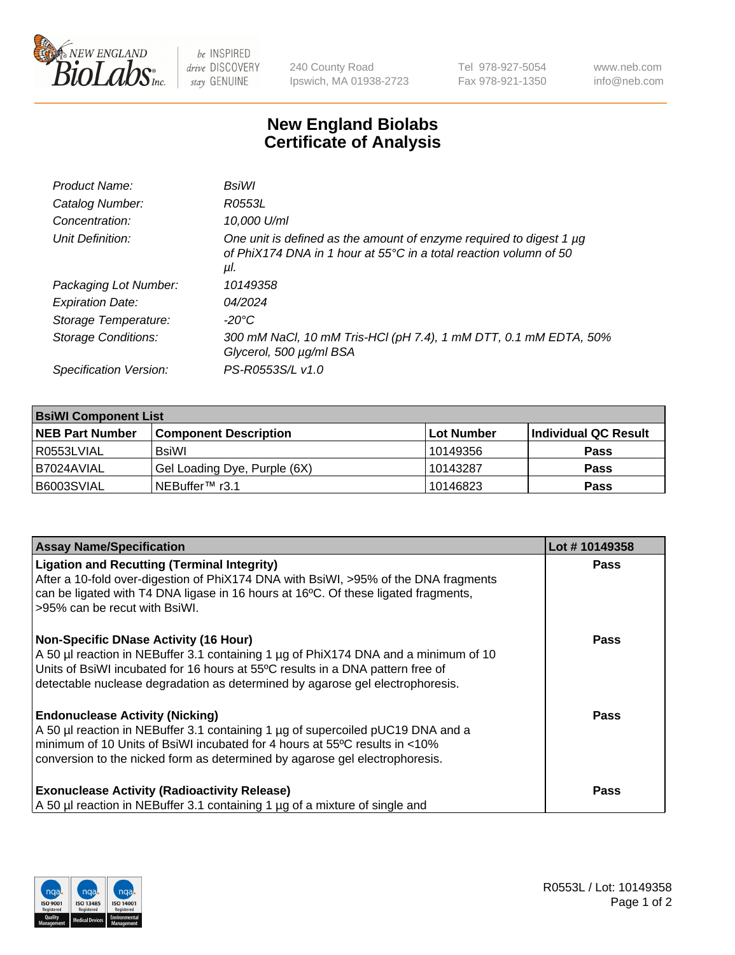

 $be$  INSPIRED drive DISCOVERY stay GENUINE

240 County Road Ipswich, MA 01938-2723 Tel 978-927-5054 Fax 978-921-1350 www.neb.com info@neb.com

## **New England Biolabs Certificate of Analysis**

| Product Name:           | BsiWl                                                                                                                                                     |
|-------------------------|-----------------------------------------------------------------------------------------------------------------------------------------------------------|
| Catalog Number:         | R0553L                                                                                                                                                    |
| Concentration:          | 10,000 U/ml                                                                                                                                               |
| Unit Definition:        | One unit is defined as the amount of enzyme required to digest 1 µg<br>of PhiX174 DNA in 1 hour at $55^{\circ}$ C in a total reaction volumn of 50<br>μl. |
| Packaging Lot Number:   | 10149358                                                                                                                                                  |
| <b>Expiration Date:</b> | 04/2024                                                                                                                                                   |
| Storage Temperature:    | -20°C                                                                                                                                                     |
| Storage Conditions:     | 300 mM NaCl, 10 mM Tris-HCl (pH 7.4), 1 mM DTT, 0.1 mM EDTA, 50%<br>Glycerol, 500 µg/ml BSA                                                               |
| Specification Version:  | PS-R0553S/L v1.0                                                                                                                                          |

| <b>BsiWI Component List</b> |                              |             |                      |  |  |
|-----------------------------|------------------------------|-------------|----------------------|--|--|
| <b>NEB Part Number</b>      | <b>Component Description</b> | ∣Lot Number | Individual QC Result |  |  |
| R0553LVIAL                  | BsiWl                        | 10149356    | <b>Pass</b>          |  |  |
| B7024AVIAL                  | Gel Loading Dye, Purple (6X) | 10143287    | <b>Pass</b>          |  |  |
| B6003SVIAL                  | INEBuffer™ r3.1              | 10146823    | <b>Pass</b>          |  |  |

| <b>Assay Name/Specification</b>                                                                                                                                                                                                                                                                        | Lot #10149358 |
|--------------------------------------------------------------------------------------------------------------------------------------------------------------------------------------------------------------------------------------------------------------------------------------------------------|---------------|
| <b>Ligation and Recutting (Terminal Integrity)</b><br>After a 10-fold over-digestion of PhiX174 DNA with BsiWI, >95% of the DNA fragments<br>can be ligated with T4 DNA ligase in 16 hours at 16°C. Of these ligated fragments,<br>>95% can be recut with BsiWI.                                       | <b>Pass</b>   |
| <b>Non-Specific DNase Activity (16 Hour)</b><br>A 50 µl reaction in NEBuffer 3.1 containing 1 µg of PhiX174 DNA and a minimum of 10<br>Units of BsiWI incubated for 16 hours at 55°C results in a DNA pattern free of<br>detectable nuclease degradation as determined by agarose gel electrophoresis. | <b>Pass</b>   |
| <b>Endonuclease Activity (Nicking)</b><br>A 50 µl reaction in NEBuffer 3.1 containing 1 µg of supercoiled pUC19 DNA and a<br>minimum of 10 Units of BsiWI incubated for 4 hours at 55°C results in <10%<br>conversion to the nicked form as determined by agarose gel electrophoresis.                 | Pass          |
| <b>Exonuclease Activity (Radioactivity Release)</b><br>A 50 µl reaction in NEBuffer 3.1 containing 1 µg of a mixture of single and                                                                                                                                                                     | Pass          |